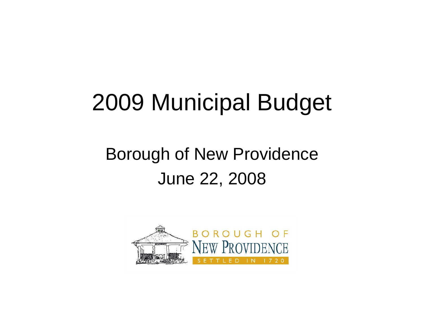# 2009 Municipal Budget

#### Borough of New Providence June 22, 2008

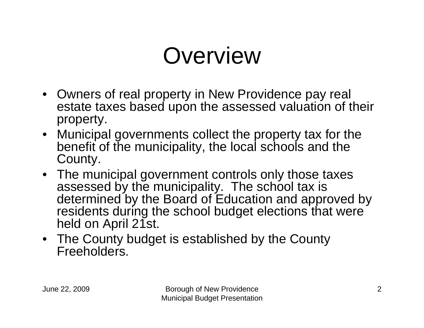# **Overview**

- Owners of real property in New Providence pay real estate taxes based upon the assessed valuation of their property.
- Municipal governments collect the property tax for the benefit of the municipality, the local schools and the County.
- The municipal government controls only those taxes assessed by the municipality. The school tax is determined by the Board of Education and approved by residents during the school budget elections that were held on April 21st.
- The County budget is established by the County Freeholders.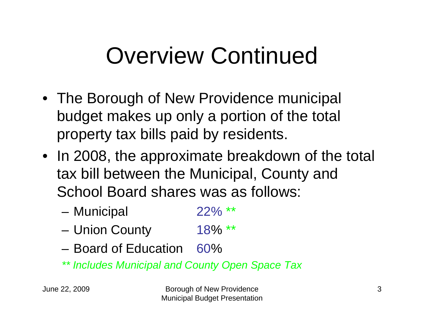# Overview Continued

- The Borough of New Providence municipal budget makes up only a portion of the total property tax bills paid by residents.
- In 2008, the approximate breakdown of the total tax bill between the Municipal, County and School Board shares was as follows:
	- and the state of the Municipal 22% \*\*
	- and the state of the Union County 18% \*\*
	- Board of Education 60%
	- *\*\* Includes Municipal and County Open Space Tax*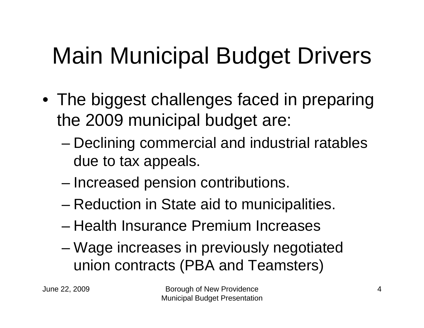# Main Municipal Budget Drivers

- The biggest challenges faced in preparing the 2009 municipal budget are:
	- and the state of the state Declining commercial and industrial ratables due to tax appeals.
	- and the state of the state Increased pension contributions.
	- and the state of the state Reduction in State aid to municipalities.
	- Health Insurance Premium Increases
	- – Wage increases in previously negotiated union contracts (PBA and Teamsters)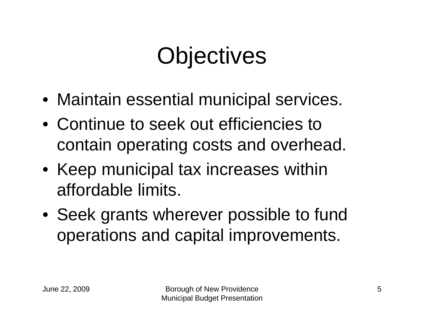# **Objectives**

- Maintain essential municipal services.
- Continue to seek out efficiencies to contain operating costs and overhead.
- Keep municipal tax increases within affordable limits.
- Seek grants wherever possible to fund operations and capital improvements.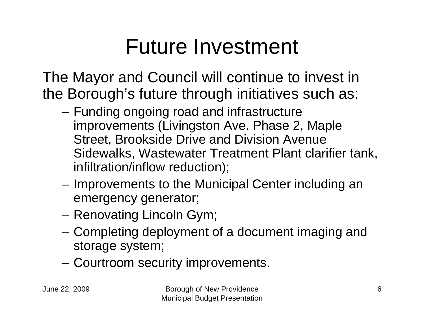## Future Investment

The Mayor and Council will continue to invest in the Borough's future through initiatives such as:

- and the state of the Funding ongoing road and infrastructure improvements (Livingston Ave. Phase 2, Maple Street, Brookside Drive and Division Avenue Sidewalks, Wastewater Treatment Plant clarifier tank, infiltration/inflow reduction);
- – Improvements to the Municipal Center including an emergency generator;
- **Links of the Company** Renovating Lincoln Gym;
- and the state of the Completing deployment of a document imaging and storage system;
- **Links of the Common** Courtroom security improvements.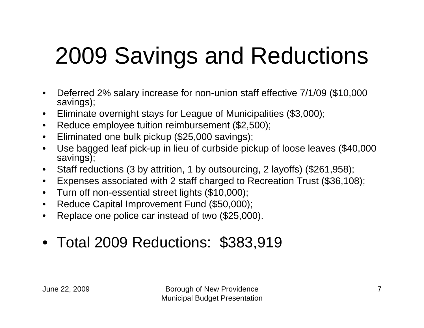# 2009 Savings and Reductions

- • Deferred 2% salary increase for non-union staff effective 7/1/09 (\$10,000 savings);
- •Eliminate overnight stays for League of Municipalities (\$3,000);
- •Reduce employee tuition reimbursement (\$2,500);
- •Eliminated one bulk pickup (\$25,000 savings);
- • Use bagged leaf pick-up in lieu of curbside pickup of loose leaves (\$40,000 savings);
- •Staff reductions (3 by attrition, 1 by outsourcing, 2 layoffs) (\$261,958);
- $\bullet$ Expenses associated with 2 staff charged to Recreation Trust (\$36,108);
- $\bullet$ Turn off non-essential street lights (\$10,000);
- •Reduce Capital Improvement Fund (\$50,000);
- •Replace one police car instead of two (\$25,000).
- Total 2009 Reductions: \$383,919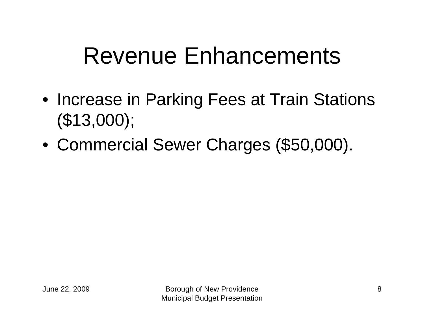## Revenue Enhancements

- Increase in Parking Fees at Train Stations (\$13,000);
- •Commercial Sewer Charges (\$50,000).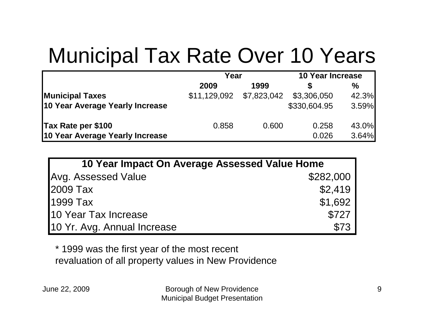### Municipal Tax Rate Over 10 Years

|                                 | Year         |             | <b>10 Year Increase</b> |       |
|---------------------------------|--------------|-------------|-------------------------|-------|
|                                 | 2009         | 1999        |                         | $\%$  |
| <b>Municipal Taxes</b>          | \$11,129,092 | \$7,823,042 | \$3,306,050             | 42.3% |
| 10 Year Average Yearly Increase |              |             | \$330,604.95            | 3.59% |
| Tax Rate per \$100              | 0.858        | 0.600       | 0.258                   | 43.0% |
| 10 Year Average Yearly Increase |              |             | 0.026                   | 3.64% |

| 10 Year Impact On Average Assessed Value Home |           |  |  |  |
|-----------------------------------------------|-----------|--|--|--|
| Avg. Assessed Value                           | \$282,000 |  |  |  |
| 2009 Tax                                      | \$2,419   |  |  |  |
| 1999 Tax                                      | \$1,692   |  |  |  |
| 10 Year Tax Increase                          | \$727     |  |  |  |
| 10 Yr. Avg. Annual Increase                   | \$73      |  |  |  |

\* 1999 was the first year of the most recent revaluation of all property values in New Providence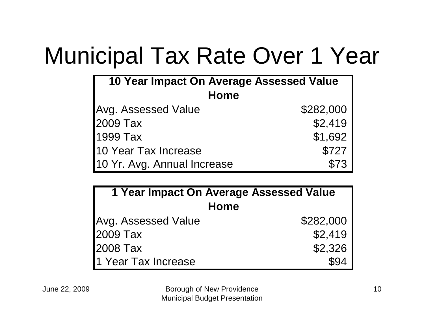# Municipal Tax Rate Over 1 Year

| 10 Year Impact On Average Assessed Value |           |  |  |  |
|------------------------------------------|-----------|--|--|--|
| <b>Home</b>                              |           |  |  |  |
| <b>Avg. Assessed Value</b>               | \$282,000 |  |  |  |
| 2009 Tax                                 | \$2,419   |  |  |  |
| 1999 Tax                                 | \$1,692   |  |  |  |
| 10 Year Tax Increase                     | \$727     |  |  |  |
| 10 Yr. Avg. Annual Increase              | \$73      |  |  |  |

| <b>1 Year Impact On Average Assessed Value</b> |           |  |  |
|------------------------------------------------|-----------|--|--|
| <b>Home</b>                                    |           |  |  |
| Avg. Assessed Value                            | \$282,000 |  |  |
| 2009 Tax                                       | \$2,419   |  |  |
| 2008 Tax                                       | \$2,326   |  |  |
| 1 Year Tax Increase                            | \$94      |  |  |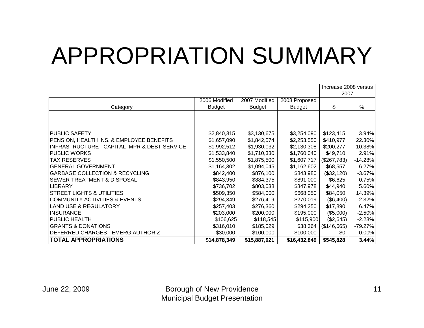# APPROPRIATION SUMMARY

|                                              |               |               |               | Increase 2008 versus |           |
|----------------------------------------------|---------------|---------------|---------------|----------------------|-----------|
|                                              |               |               |               | 2007                 |           |
|                                              | 2006 Modified | 2007 Modified | 2008 Proposed |                      |           |
| Category                                     | <b>Budget</b> | <b>Budget</b> | <b>Budget</b> | \$                   | %         |
|                                              |               |               |               |                      |           |
|                                              |               |               |               |                      |           |
|                                              |               |               |               |                      |           |
| <b>PUBLIC SAFETY</b>                         | \$2,840,315   | \$3,130,675   | \$3,254,090   | \$123,415            | 3.94%     |
| PENSION, HEALTH INS. & EMPLOYEE BENEFITS     | \$1,657,090   | \$1,842,574   | \$2,253,550   | \$410,977            | 22.30%    |
| INFRASTRUCTURE - CAPITAL IMPR & DEBT SERVICE | \$1,992,512   | \$1,930,032   | \$2,130,308   | \$200,277            | 10.38%    |
| <b>PUBLIC WORKS</b>                          | \$1,533,840   | \$1,710,330   | \$1,760,040   | \$49,710             | 2.91%     |
| <b>TAX RESERVES</b>                          | \$1,550,500   | \$1,875,500   | \$1,607,717   | (\$267,783)          | $-14.28%$ |
| <b>GENERAL GOVERNMENT</b>                    | \$1,164,302   | \$1,094,045   | \$1,162,602   | \$68,557             | 6.27%     |
| <b>GARBAGE COLLECTION &amp; RECYCLING</b>    | \$842,400     | \$876,100     | \$843,980     | (\$32,120)           | $-3.67%$  |
| <b>SEWER TREATMENT &amp; DISPOSAL</b>        | \$843,950     | \$884,375     | \$891,000     | \$6,625              | 0.75%     |
| <b>LIBRARY</b>                               | \$736,702     | \$803,038     | \$847,978     | \$44,940             | 5.60%     |
| <b>STREET LIGHTS &amp; UTILITIES</b>         | \$509,350     | \$584,000     | \$668,050     | \$84,050             | 14.39%    |
| COMMUNITY ACTIVITIES & EVENTS                | \$294,349     | \$276,419     | \$270,019     | (\$6,400)            | $-2.32%$  |
| <b>LAND USE &amp; REGULATORY</b>             | \$257,403     | \$276,360     | \$294,250     | \$17,890             | 6.47%     |
| <b>INSURANCE</b>                             | \$203,000     | \$200,000     | \$195,000     | (\$5,000)            | $-2.50%$  |
| <b>PUBLIC HEALTH</b>                         | \$106,625     | \$118,545     | \$115,900     | (\$2,645)            | $-2.23%$  |
| <b>GRANTS &amp; DONATIONS</b>                | \$316,010     | \$185,029     | \$38,364      | (\$146,665)          | $-79.27%$ |
| IDEFERRED CHARGES - EMERG AUTHORIZ           | \$30,000      | \$100,000     | \$100,000     | \$0                  | 0.00%     |
| <b>TOTAL APPROPRIATIONS</b>                  | \$14,878,349  | \$15,887,021  | \$16,432,849  | \$545,828            | 3.44%     |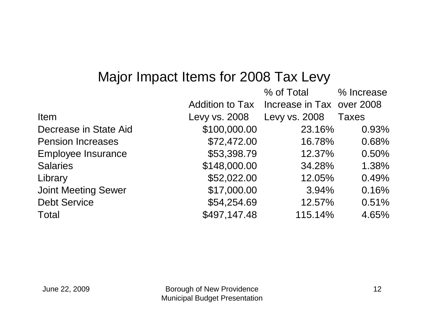#### Major Impact Items for 2008 Tax Levy

|                            |                        | % of Total                | % Increase   |
|----------------------------|------------------------|---------------------------|--------------|
|                            | <b>Addition to Tax</b> | Increase in Tax over 2008 |              |
| Item                       | Levy vs. 2008          | Levy vs. 2008             | <b>Taxes</b> |
| Decrease in State Aid      | \$100,000.00           | 23.16%                    | 0.93%        |
| <b>Pension Increases</b>   | \$72,472.00            | 16.78%                    | 0.68%        |
| <b>Employee Insurance</b>  | \$53,398.79            | 12.37%                    | 0.50%        |
| <b>Salaries</b>            | \$148,000.00           | 34.28%                    | 1.38%        |
| Library                    | \$52,022.00            | 12.05%                    | 0.49%        |
| <b>Joint Meeting Sewer</b> | \$17,000.00            | 3.94%                     | 0.16%        |
| <b>Debt Service</b>        | \$54,254.69            | 12.57%                    | 0.51%        |
| <b>Total</b>               | \$497,147.48           | 115.14%                   | 4.65%        |
|                            |                        |                           |              |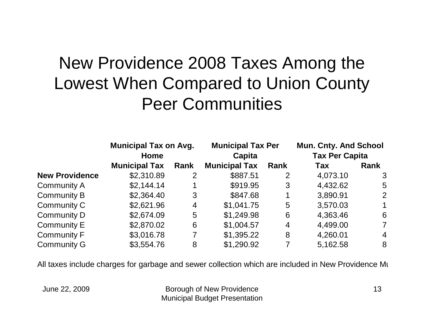#### New Providence 2008 Taxes Among the Lowest When Compared to Union County Peer Communities

|                       | <b>Municipal Tax on Avg.</b> |                | <b>Municipal Tax Per</b><br>Capita |                | <b>Mun. Cnty. And School</b><br><b>Tax Per Capita</b> |                |
|-----------------------|------------------------------|----------------|------------------------------------|----------------|-------------------------------------------------------|----------------|
|                       | Home                         |                |                                    |                |                                                       |                |
|                       | <b>Municipal Tax</b>         | Rank           | <b>Municipal Tax</b>               | Rank           | <b>Tax</b>                                            | Rank           |
| <b>New Providence</b> | \$2,310.89                   | 2              | \$887.51                           | 2              | 4,073.10                                              | 3              |
| <b>Community A</b>    | \$2,144.14                   |                | \$919.95                           | 3              | 4,432.62                                              | 5              |
| Community B           | \$2,364.40                   | 3              | \$847.68                           |                | 3,890.91                                              | 2              |
| Community C           | \$2,621.96                   | 4              | \$1,041.75                         | 5              | 3,570.03                                              | $\mathbf 1$    |
| Community D           | \$2,674.09                   | 5              | \$1,249.98                         | 6              | 4,363.46                                              | 6              |
| Community E           | \$2,870.02                   | 6              | \$1,004.57                         | $\overline{4}$ | 4,499.00                                              | $\overline{7}$ |
| Community F           | \$3,016.78                   | $\overline{7}$ | \$1,395.22                         | 8              | 4,260.01                                              | $\overline{4}$ |
| <b>Community G</b>    | \$3,554.76                   | 8              | \$1,290.92                         |                | 5,162.58                                              | 8              |

All taxes include charges for garbage and sewer collection which are included in New Providence M u

June 22, 2009 Borough of New Providence Municipal Budget Presentation